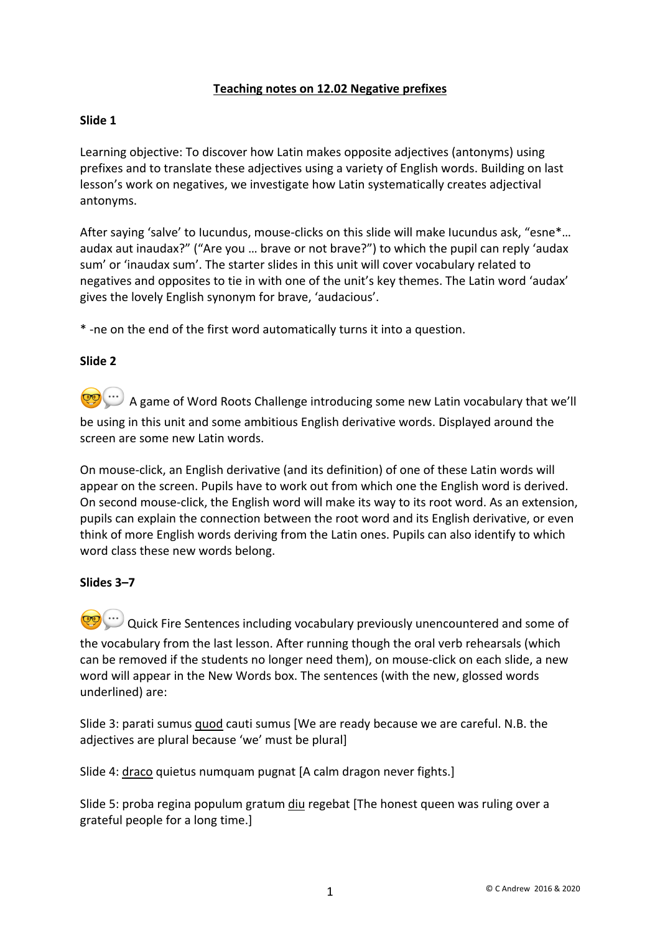# **Teaching notes on 12.02 Negative prefixes**

## **Slide 1**

Learning objective: To discover how Latin makes opposite adjectives (antonyms) using prefixes and to translate these adjectives using a variety of English words. Building on last lesson's work on negatives, we investigate how Latin systematically creates adjectival antonyms.

After saying 'salve' to Iucundus, mouse-clicks on this slide will make Iucundus ask, "esne\*… audax aut inaudax?" ("Are you … brave or not brave?") to which the pupil can reply 'audax sum' or 'inaudax sum'. The starter slides in this unit will cover vocabulary related to negatives and opposites to tie in with one of the unit's key themes. The Latin word 'audax' gives the lovely English synonym for brave, 'audacious'.

\* -ne on the end of the first word automatically turns it into a question.

### **Slide 2**

**CO** ...) A game of Word Roots Challenge introducing some new Latin vocabulary that we'll be using in this unit and some ambitious English derivative words. Displayed around the screen are some new Latin words.

On mouse-click, an English derivative (and its definition) of one of these Latin words will appear on the screen. Pupils have to work out from which one the English word is derived. On second mouse-click, the English word will make its way to its root word. As an extension, pupils can explain the connection between the root word and its English derivative, or even think of more English words deriving from the Latin ones. Pupils can also identify to which word class these new words belong.

### **Slides 3–7**

Quick Fire Sentences including vocabulary previously unencountered and some of the vocabulary from the last lesson. After running though the oral verb rehearsals (which can be removed if the students no longer need them), on mouse-click on each slide, a new word will appear in the New Words box. The sentences (with the new, glossed words underlined) are:

Slide 3: parati sumus quod cauti sumus [We are ready because we are careful. N.B. the adjectives are plural because 'we' must be plural]

Slide 4: draco quietus numquam pugnat [A calm dragon never fights.]

Slide 5: proba regina populum gratum diu regebat [The honest queen was ruling over a grateful people for a long time.]